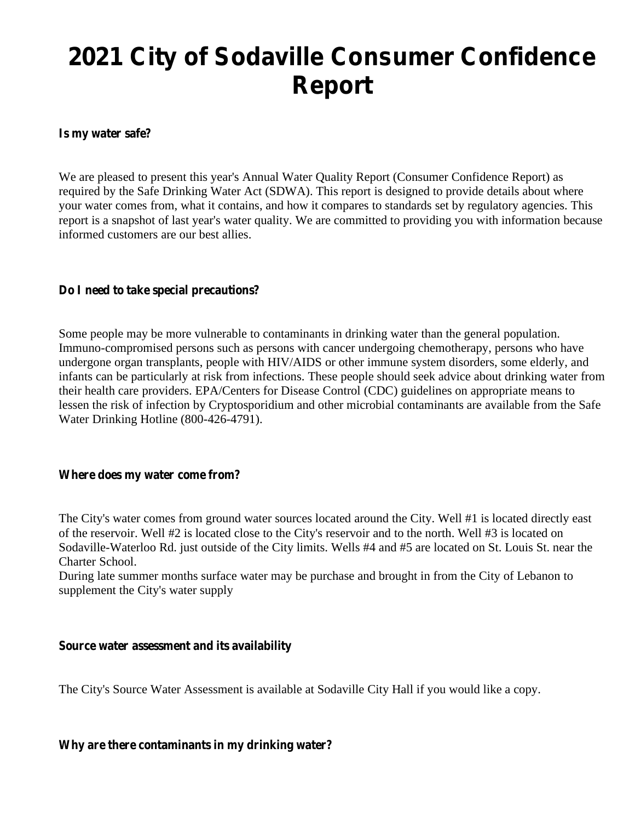# **2021 City of Sodaville Consumer Confidence Report**

### **Is my water safe?**

We are pleased to present this year's Annual Water Quality Report (Consumer Confidence Report) as required by the Safe Drinking Water Act (SDWA). This report is designed to provide details about where your water comes from, what it contains, and how it compares to standards set by regulatory agencies. This report is a snapshot of last year's water quality. We are committed to providing you with information because informed customers are our best allies.

## **Do I need to take special precautions?**

Some people may be more vulnerable to contaminants in drinking water than the general population. Immuno-compromised persons such as persons with cancer undergoing chemotherapy, persons who have undergone organ transplants, people with HIV/AIDS or other immune system disorders, some elderly, and infants can be particularly at risk from infections. These people should seek advice about drinking water from their health care providers. EPA/Centers for Disease Control (CDC) guidelines on appropriate means to lessen the risk of infection by Cryptosporidium and other microbial contaminants are available from the Safe Water Drinking Hotline (800-426-4791).

#### **Where does my water come from?**

The City's water comes from ground water sources located around the City. Well #1 is located directly east of the reservoir. Well #2 is located close to the City's reservoir and to the north. Well #3 is located on Sodaville-Waterloo Rd. just outside of the City limits. Wells #4 and #5 are located on St. Louis St. near the Charter School.

During late summer months surface water may be purchase and brought in from the City of Lebanon to supplement the City's water supply

#### **Source water assessment and itsavailability**

The City's Source Water Assessment is available at Sodaville City Hall if you would like a copy.

**Why are there contaminants in my drinking water?**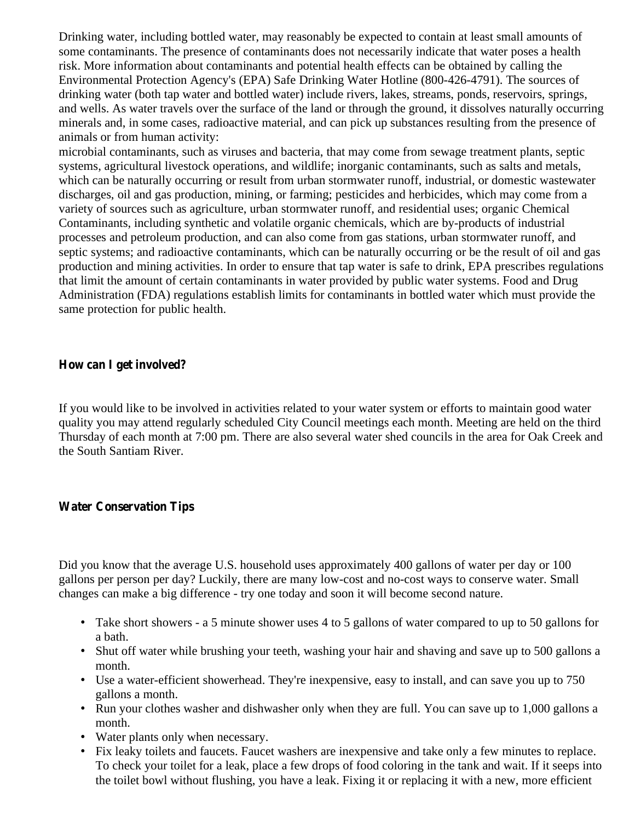Drinking water, including bottled water, may reasonably be expected to contain at least small amounts of some contaminants. The presence of contaminants does not necessarily indicate that water poses a health risk. More information about contaminants and potential health effects can be obtained by calling the Environmental Protection Agency's (EPA) Safe Drinking Water Hotline (800-426-4791). The sources of drinking water (both tap water and bottled water) include rivers, lakes, streams, ponds, reservoirs, springs, and wells. As water travels over the surface of the land or through the ground, it dissolves naturally occurring minerals and, in some cases, radioactive material, and can pick up substances resulting from the presence of animals or from human activity:

microbial contaminants, such as viruses and bacteria, that may come from sewage treatment plants, septic systems, agricultural livestock operations, and wildlife; inorganic contaminants, such as salts and metals, which can be naturally occurring or result from urban stormwater runoff, industrial, or domestic wastewater discharges, oil and gas production, mining, or farming; pesticides and herbicides, which may come from a variety of sources such as agriculture, urban stormwater runoff, and residential uses; organic Chemical Contaminants, including synthetic and volatile organic chemicals, which are by-products of industrial processes and petroleum production, and can also come from gas stations, urban stormwater runoff, and septic systems; and radioactive contaminants, which can be naturally occurring or be the result of oil and gas production and mining activities. In order to ensure that tap water is safe to drink, EPA prescribes regulations that limit the amount of certain contaminants in water provided by public water systems. Food and Drug Administration (FDA) regulations establish limits for contaminants in bottled water which must provide the same protection for public health.

## **How can Iget involved?**

If you would like to be involved in activities related to your water system or efforts to maintain good water quality you may attend regularly scheduled City Council meetings each month. Meeting are held on the third Thursday of each month at 7:00 pm. There are also several water shed councils in the area for Oak Creek and the South Santiam River.

## **Water Conservation Tips**

Did you know that the average U.S. household uses approximately 400 gallons of water per day or 100 gallons per person per day? Luckily, there are many low-cost and no-cost ways to conserve water. Small changes can make a big difference - try one today and soon it will become second nature.

- Take short showers a 5 minute shower uses 4 to 5 gallons of water compared to up to 50 gallons for a bath.
- Shut off water while brushing your teeth, washing your hair and shaving and save up to 500 gallons a month.
- Use a water-efficient showerhead. They're inexpensive, easy to install, and can save you up to 750 gallons a month.
- Run your clothes washer and dishwasher only when they are full. You can save up to 1,000 gallons a month.
- Water plants only when necessary.
- Fix leaky toilets and faucets. Faucet washers are inexpensive and take only a few minutes to replace. To check your toilet for a leak, place a few drops of food coloring in the tank and wait. If it seeps into the toilet bowl without flushing, you have a leak. Fixing it or replacing it with a new, more efficient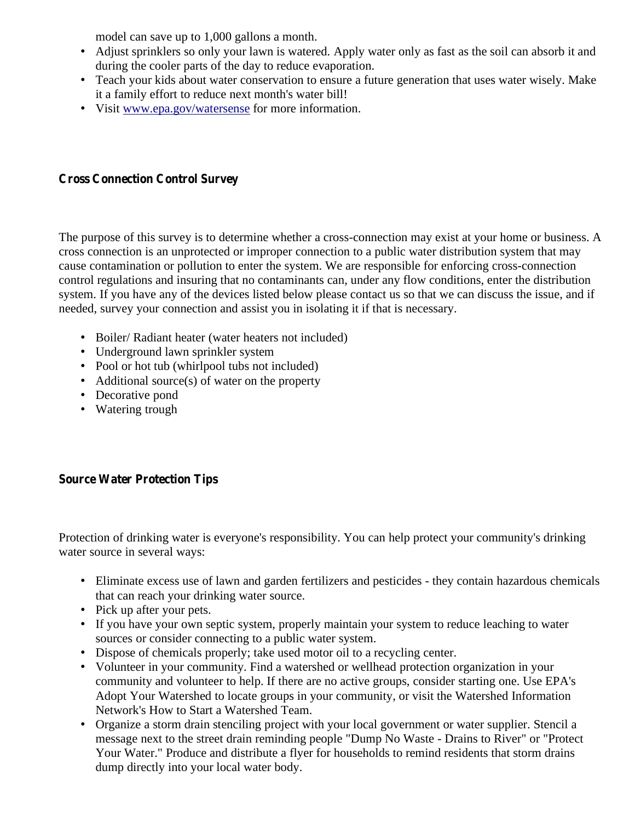model can save up to 1,000 gallons a month.

- Adjust sprinklers so only your lawn is watered. Apply water only as fast as the soil can absorb it and during the cooler parts of the day to reduce evaporation.
- Teach your kids about water conservation to ensure a future generation that uses water wisely. Make it a family effort to reduce next month's water bill!
- Visit www.epa.gov/watersense for more information.

# **Cross Connection Control Survey**

The purpose of this survey is to determine whether a cross-connection may exist at your home or business. A cross connection is an unprotected or improper connection to a public water distribution system that may cause contamination or pollution to enter the system. We are responsible for enforcing cross-connection control regulations and insuring that no contaminants can, under any flow conditions, enter the distribution system. If you have any of the devices listed below please contact us so that we can discuss the issue, and if needed, survey your connection and assist you in isolating it if that is necessary.

- Boiler/ Radiant heater (water heaters not included)
- Underground lawn sprinkler system
- Pool or hot tub (whirlpool tubs not included)
- Additional source(s) of water on the property
- Decorative pond
- Watering trough

# **Source Water Protection Tips**

Protection of drinking water is everyone's responsibility. You can help protect your community's drinking water source in several ways:

- Eliminate excess use of lawn and garden fertilizers and pesticides they contain hazardous chemicals that can reach your drinking water source.
- Pick up after your pets.
- If you have your own septic system, properly maintain your system to reduce leaching to water sources or consider connecting to a public water system.
- Dispose of chemicals properly; take used motor oil to a recycling center.
- Volunteer in your community. Find a watershed or wellhead protection organization in your community and volunteer to help. If there are no active groups, consider starting one. Use EPA's Adopt Your Watershed to locate groups in your community, or visit the Watershed Information Network's How to Start a Watershed Team.
- Organize a storm drain stenciling project with your local government or water supplier. Stencil a message next to the street drain reminding people "Dump No Waste - Drains to River" or "Protect Your Water." Produce and distribute a flyer for households to remind residents that storm drains dump directly into your local water body.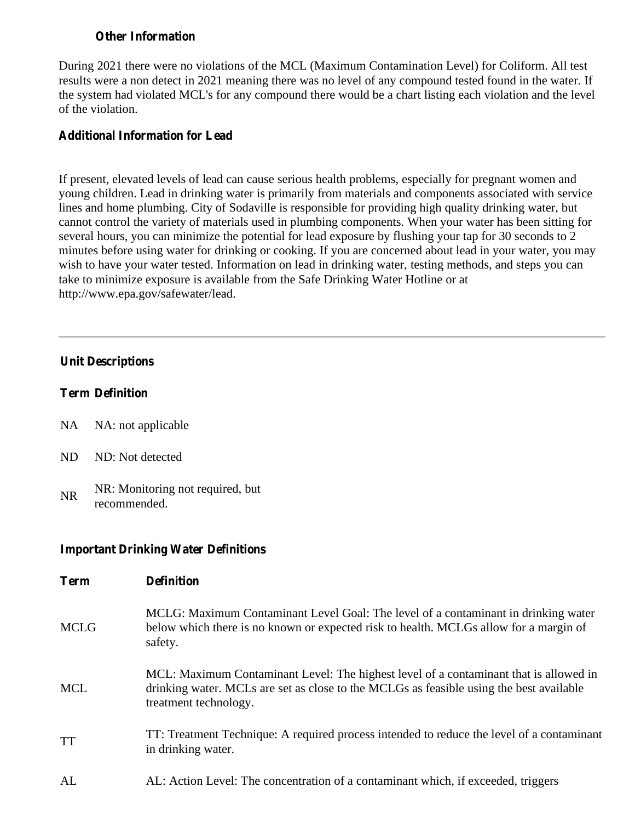# **Other Information**

During 2021 there were no violations of the MCL (Maximum Contamination Level) for Coliform. All test results were a non detect in 2021 meaning there was no level of any compound tested found in the water. If the system had violated MCL's for any compound there would be a chart listing each violation and the level of the violation.

## **Additional Information for Lead**

If present, elevated levels of lead can cause serious health problems, especially for pregnant women and young children. Lead in drinking water is primarily from materials and components associated with service lines and home plumbing. City of Sodaville is responsible for providing high quality drinking water, but cannot control the variety of materials used in plumbing components. When your water has been sitting for several hours, you can minimize the potential for lead exposure by flushing your tap for 30 seconds to 2 minutes before using water for drinking or cooking. If you are concerned about lead in your water, you may wish to have your water tested. Information on lead in drinking water, testing methods, and steps you can take to minimize exposure is available from the Safe Drinking Water Hotline or at http://www.epa.gov/safewater/lead.

# **Unit Descriptions**

# **Term Definition**

- NA NA: not applicable
- ND ND: Not detected
- NR NR: Monitoring not required, but recommended.

## **Important Drinking Water Definitions**

| <b>Term</b> | <b>Definition</b>                                                                                                                                                                                         |
|-------------|-----------------------------------------------------------------------------------------------------------------------------------------------------------------------------------------------------------|
| <b>MCLG</b> | MCLG: Maximum Contaminant Level Goal: The level of a contaminant in drinking water<br>below which there is no known or expected risk to health. MCLGs allow for a margin of<br>safety.                    |
| <b>MCL</b>  | MCL: Maximum Contaminant Level: The highest level of a contaminant that is allowed in<br>drinking water. MCLs are set as close to the MCLGs as feasible using the best available<br>treatment technology. |
| <b>TT</b>   | TT: Treatment Technique: A required process intended to reduce the level of a contaminant<br>in drinking water.                                                                                           |
| AL          | AL: Action Level: The concentration of a contaminant which, if exceeded, triggers                                                                                                                         |